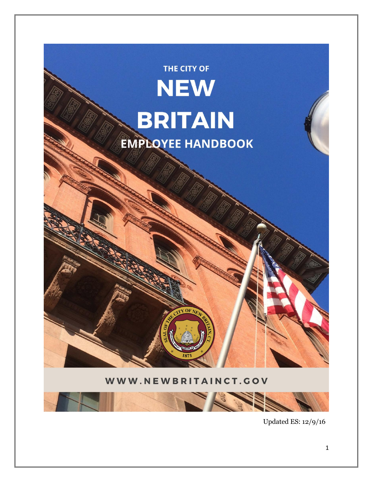

Updated ES: 12/9/16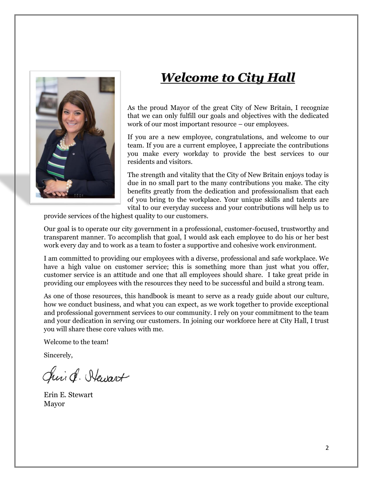

## *Welcome to City Hall*

As the proud Mayor of the great City of New Britain, I recognize that we can only fulfill our goals and objectives with the dedicated work of our most important resource – our employees.

If you are a new employee, congratulations, and welcome to our team. If you are a current employee, I appreciate the contributions you make every workday to provide the best services to our residents and visitors.

The strength and vitality that the City of New Britain enjoys today is due in no small part to the many contributions you make. The city benefits greatly from the dedication and professionalism that each of you bring to the workplace. Your unique skills and talents are vital to our everyday success and your contributions will help us to

provide services of the highest quality to our customers.

Our goal is to operate our city government in a professional, customer-focused, trustworthy and transparent manner. To accomplish that goal, I would ask each employee to do his or her best work every day and to work as a team to foster a supportive and cohesive work environment.

I am committed to providing our employees with a diverse, professional and safe workplace. We have a high value on customer service; this is something more than just what you offer, customer service is an attitude and one that all employees should share. I take great pride in providing our employees with the resources they need to be successful and build a strong team.

As one of those resources, this handbook is meant to serve as a ready guide about our culture, how we conduct business, and what you can expect, as we work together to provide exceptional and professional government services to our community. I rely on your commitment to the team and your dedication in serving our customers. In joining our workforce here at City Hall, I trust you will share these core values with me.

Welcome to the team!

Sincerely,

Chris . Hewart

Erin E. Stewart Mayor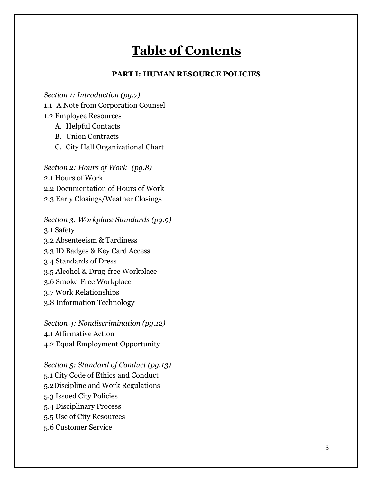## **Table of Contents**

#### **PART I: HUMAN RESOURCE POLICIES**

*Section 1: Introduction (pg.7)*

1.1 A Note from Corporation Counsel

1.2 Employee Resources

A. Helpful Contacts

- B. Union Contracts
- C. City Hall Organizational Chart

*Section 2: Hours of Work (pg.8)* 2.1 Hours of Work 2.2 Documentation of Hours of Work 2.3 Early Closings/Weather Closings

*Section 3: Workplace Standards (pg.9)* 3.1 Safety 3.2 Absenteeism & Tardiness 3.3 ID Badges & Key Card Access 3.4 Standards of Dress 3.5 Alcohol & Drug-free Workplace 3.6 Smoke-Free Workplace 3.7 Work Relationships 3.8 Information Technology

*Section 4: Nondiscrimination (pg.12)* 4.1 Affirmative Action 4.2 Equal Employment Opportunity

*Section 5: Standard of Conduct (pg.13)* 5.1 City Code of Ethics and Conduct 5.2Discipline and Work Regulations 5.3 Issued City Policies 5.4 Disciplinary Process 5.5 Use of City Resources 5.6 Customer Service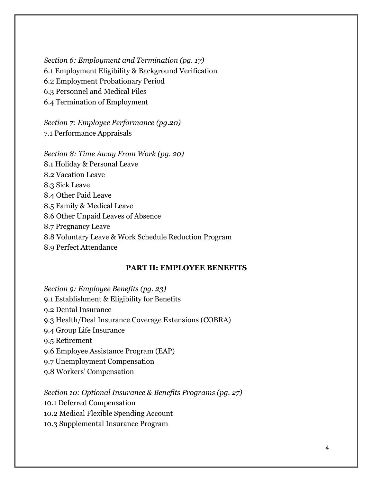*Section 6: Employment and Termination (pg. 17)* 6.1 Employment Eligibility & Background Verification 6.2 Employment Probationary Period 6.3 Personnel and Medical Files 6.4 Termination of Employment

*Section 7: Employee Performance (pg.20)* 7.1 Performance Appraisals

*Section 8: Time Away From Work (pg. 20)* 8.1 Holiday & Personal Leave 8.2 Vacation Leave 8.3 Sick Leave 8.4 Other Paid Leave 8.5 Family & Medical Leave 8.6 Other Unpaid Leaves of Absence 8.7 Pregnancy Leave 8.8 Voluntary Leave & Work Schedule Reduction Program 8.9 Perfect Attendance

#### **PART II: EMPLOYEE BENEFITS**

*Section 9: Employee Benefits (pg. 23)*

- 9.1 Establishment & Eligibility for Benefits
- 9.2 Dental Insurance
- 9.3 Health/Deal Insurance Coverage Extensions (COBRA)
- 9.4 Group Life Insurance
- 9.5 Retirement
- 9.6 Employee Assistance Program (EAP)
- 9.7 Unemployment Compensation
- 9.8 Workers' Compensation

*Section 10: Optional Insurance & Benefits Programs (pg. 27)*

10.1 Deferred Compensation

10.2 Medical Flexible Spending Account

10.3 Supplemental Insurance Program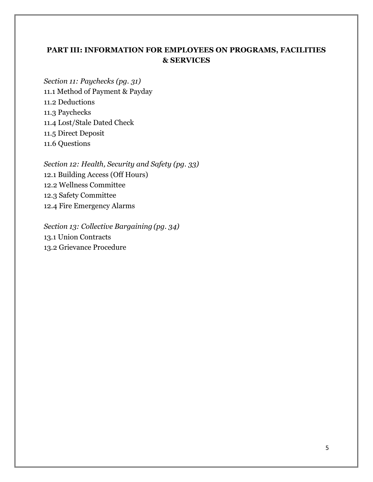### **PART III: INFORMATION FOR EMPLOYEES ON PROGRAMS, FACILITIES & SERVICES**

*Section 11: Paychecks (pg. 31)* 11.1 Method of Payment & Payday 11.2 Deductions 11.3 Paychecks 11.4 Lost/Stale Dated Check 11.5 Direct Deposit 11.6 Questions

*Section 12: Health, Security and Safety (pg. 33)* 12.1 Building Access (Off Hours) 12.2 Wellness Committee 12.3 Safety Committee 12.4 Fire Emergency Alarms

*Section 13: Collective Bargaining (pg. 34)* 13.1 Union Contracts 13.2 Grievance Procedure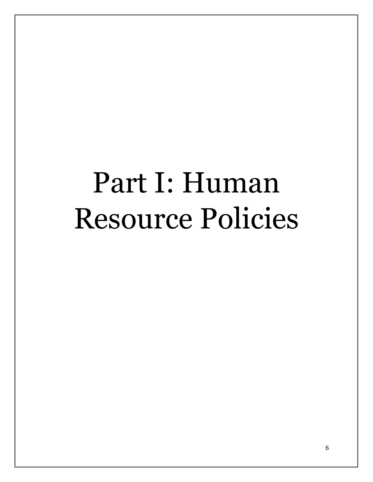# Part I: Human Resource Policies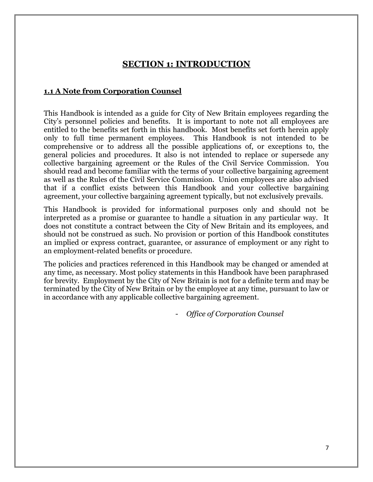## **SECTION 1: INTRODUCTION**

#### **1.1 A Note from Corporation Counsel**

This Handbook is intended as a guide for City of New Britain employees regarding the City's personnel policies and benefits. It is important to note not all employees are entitled to the benefits set forth in this handbook. Most benefits set forth herein apply only to full time permanent employees. This Handbook is not intended to be comprehensive or to address all the possible applications of, or exceptions to, the general policies and procedures. It also is not intended to replace or supersede any collective bargaining agreement or the Rules of the Civil Service Commission. You should read and become familiar with the terms of your collective bargaining agreement as well as the Rules of the Civil Service Commission. Union employees are also advised that if a conflict exists between this Handbook and your collective bargaining agreement, your collective bargaining agreement typically, but not exclusively prevails.

This Handbook is provided for informational purposes only and should not be interpreted as a promise or guarantee to handle a situation in any particular way. It does not constitute a contract between the City of New Britain and its employees, and should not be construed as such. No provision or portion of this Handbook constitutes an implied or express contract, guarantee, or assurance of employment or any right to an employment-related benefits or procedure.

The policies and practices referenced in this Handbook may be changed or amended at any time, as necessary. Most policy statements in this Handbook have been paraphrased for brevity. Employment by the City of New Britain is not for a definite term and may be terminated by the City of New Britain or by the employee at any time, pursuant to law or in accordance with any applicable collective bargaining agreement.

- *Office of Corporation Counsel*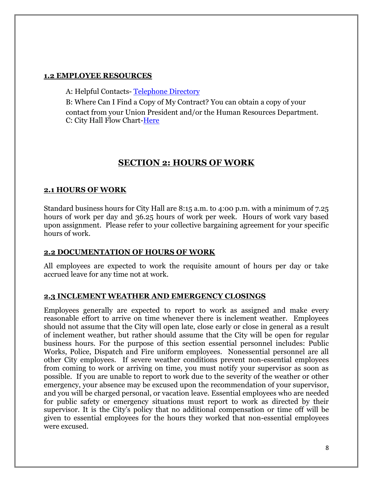#### **1.2 EMPLOYEE RESOURCES**

A: Helpful Contacts- [Telephone Directory](file://///ci.new-britain.ct.us/conb/MayorsOffice/Contact%20Lists/NBTelephoneDirectory%20(2).pdf)

B: Where Can I Find a Copy of My Contract? You can obtain a copy of your contact from your Union President and/or the Human Resources Department. C: City Hall Flow Chart[-Here](file://///ci.new-britain.ct.us/conb/MayorsOffice/Employee%20Handbook/City%20Hall%20Flow%20Chart%209-7-16.docx)

## **SECTION 2: HOURS OF WORK**

#### **2.1 HOURS OF WORK**

Standard business hours for City Hall are 8:15 a.m. to 4:00 p.m. with a minimum of 7.25 hours of work per day and 36.25 hours of work per week. Hours of work vary based upon assignment. Please refer to your collective bargaining agreement for your specific hours of work.

#### **2.2 DOCUMENTATION OF HOURS OF WORK**

All employees are expected to work the requisite amount of hours per day or take accrued leave for any time not at work.

#### **2.3 INCLEMENT WEATHER AND EMERGENCY CLOSINGS**

Employees generally are expected to report to work as assigned and make every reasonable effort to arrive on time whenever there is inclement weather. Employees should not assume that the City will open late, close early or close in general as a result of inclement weather, but rather should assume that the City will be open for regular business hours. For the purpose of this section essential personnel includes: Public Works, Police, Dispatch and Fire uniform employees. Nonessential personnel are all other City employees. If severe weather conditions prevent non-essential employees from coming to work or arriving on time, you must notify your supervisor as soon as possible. If you are unable to report to work due to the severity of the weather or other emergency, your absence may be excused upon the recommendation of your supervisor, and you will be charged personal, or vacation leave. Essential employees who are needed for public safety or emergency situations must report to work as directed by their supervisor. It is the City's policy that no additional compensation or time off will be given to essential employees for the hours they worked that non-essential employees were excused.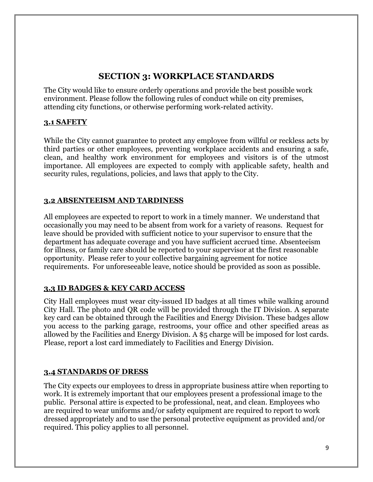## **SECTION 3: WORKPLACE STANDARDS**

The City would like to ensure orderly operations and provide the best possible work environment. Please follow the following rules of conduct while on city premises, attending city functions, or otherwise performing work-related activity.

#### **3.1 SAFETY**

While the City cannot guarantee to protect any employee from willful or reckless acts by third parties or other employees, preventing workplace accidents and ensuring a safe, clean, and healthy work environment for employees and visitors is of the utmost importance. All employees are expected to comply with applicable safety, health and security rules, regulations, policies, and laws that apply to the City.

#### **3.2 ABSENTEEISM AND TARDINESS**

All employees are expected to report to work in a timely manner. We understand that occasionally you may need to be absent from work for a variety of reasons. Request for leave should be provided with sufficient notice to your supervisor to ensure that the department has adequate coverage and you have sufficient accrued time. Absenteeism for illness, or family care should be reported to your supervisor at the first reasonable opportunity. Please refer to your collective bargaining agreement for notice requirements. For unforeseeable leave, notice should be provided as soon as possible.

#### **3.3 ID BADGES & KEY CARD ACCESS**

City Hall employees must wear city-issued ID badges at all times while walking around City Hall. The photo and QR code will be provided through the IT Division. A separate key card can be obtained through the Facilities and Energy Division. These badges allow you access to the parking garage, restrooms, your office and other specified areas as allowed by the Facilities and Energy Division. A \$5 charge will be imposed for lost cards. Please, report a lost card immediately to Facilities and Energy Division.

#### **3.4 STANDARDS OF DRESS**

The City expects our employees to dress in appropriate business attire when reporting to work. It is extremely important that our employees present a professional image to the public. Personal attire is expected to be professional, neat, and clean. Employees who are required to wear uniforms and/or safety equipment are required to report to work dressed appropriately and to use the personal protective equipment as provided and/or required. This policy applies to all personnel.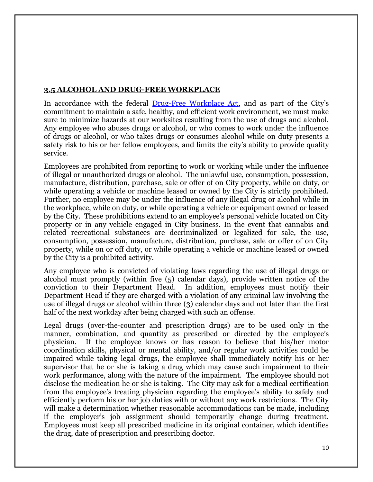#### **3.5 ALCOHOL AND DRUG-FREE WORKPLACE**

In accordance with the federal [Drug-Free Workplace Act](https://www.gpo.gov/fdsys/pkg/USCODE-2009-title41/pdf/USCODE-2009-title41-chap10.pdf), and as part of the City's commitment to maintain a safe, healthy, and efficient work environment, we must make sure to minimize hazards at our worksites resulting from the use of drugs and alcohol. Any employee who abuses drugs or alcohol, or who comes to work under the influence of drugs or alcohol, or who takes drugs or consumes alcohol while on duty presents a safety risk to his or her fellow employees, and limits the city's ability to provide quality service.

Employees are prohibited from reporting to work or working while under the influence of illegal or unauthorized drugs or alcohol. The unlawful use, consumption, possession, manufacture, distribution, purchase, sale or offer of on City property, while on duty, or while operating a vehicle or machine leased or owned by the City is strictly prohibited. Further, no employee may be under the influence of any illegal drug or alcohol while in the workplace, while on duty, or while operating a vehicle or equipment owned or leased by the City. These prohibitions extend to an employee's personal vehicle located on City property or in any vehicle engaged in City business. In the event that cannabis and related recreational substances are decriminalized or legalized for sale, the use, consumption, possession, manufacture, distribution, purchase, sale or offer of on City property, while on or off duty, or while operating a vehicle or machine leased or owned by the City is a prohibited activity.

Any employee who is convicted of violating laws regarding the use of illegal drugs or alcohol must promptly (within five (5) calendar days), provide written notice of the conviction to their Department Head. In addition, employees must notify their Department Head if they are charged with a violation of any criminal law involving the use of illegal drugs or alcohol within three (3) calendar days and not later than the first half of the next workday after being charged with such an offense.

Legal drugs (over-the-counter and prescription drugs) are to be used only in the manner, combination, and quantity as prescribed or directed by the employee's physician. If the employee knows or has reason to believe that his/her motor coordination skills, physical or mental ability, and/or regular work activities could be impaired while taking legal drugs, the employee shall immediately notify his or her supervisor that he or she is taking a drug which may cause such impairment to their work performance, along with the nature of the impairment. The employee should not disclose the medication he or she is taking. The City may ask for a medical certification from the employee's treating physician regarding the employee's ability to safely and efficiently perform his or her job duties with or without any work restrictions. The City will make a determination whether reasonable accommodations can be made, including if the employer's job assignment should temporarily change during treatment. Employees must keep all prescribed medicine in its original container, which identifies the drug, date of prescription and prescribing doctor.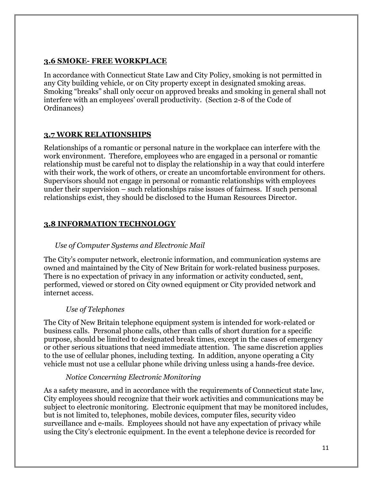#### **3.6 SMOKE- FREE WORKPLACE**

In accordance with Connecticut State Law and City Policy, smoking is not permitted in any City building vehicle, or on City property except in designated smoking areas. Smoking "breaks" shall only occur on approved breaks and smoking in general shall not interfere with an employees' overall productivity. (Section 2-8 of the Code of Ordinances)

#### **3.7 WORK RELATIONSHIPS**

Relationships of a romantic or personal nature in the workplace can interfere with the work environment. Therefore, employees who are engaged in a personal or romantic relationship must be careful not to display the relationship in a way that could interfere with their work, the work of others, or create an uncomfortable environment for others. Supervisors should not engage in personal or romantic relationships with employees under their supervision – such relationships raise issues of fairness. If such personal relationships exist, they should be disclosed to the Human Resources Director.

#### **3.8 INFORMATION TECHNOLOGY**

#### *Use of Computer Systems and Electronic Mail*

The City's computer network, electronic information, and communication systems are owned and maintained by the City of New Britain for work-related business purposes. There is no expectation of privacy in any information or activity conducted, sent, performed, viewed or stored on City owned equipment or City provided network and internet access.

#### *Use of Telephones*

The City of New Britain telephone equipment system is intended for work-related or business calls. Personal phone calls, other than calls of short duration for a specific purpose, should be limited to designated break times, except in the cases of emergency or other serious situations that need immediate attention. The same discretion applies to the use of cellular phones, including texting. In addition, anyone operating a City vehicle must not use a cellular phone while driving unless using a hands-free device.

#### *Notice Concerning Electronic Monitoring*

As a safety measure, and in accordance with the requirements of Connecticut state law, City employees should recognize that their work activities and communications may be subject to electronic monitoring. Electronic equipment that may be monitored includes, but is not limited to, telephones, mobile devices, computer files, security video surveillance and e-mails. Employees should not have any expectation of privacy while using the City's electronic equipment. In the event a telephone device is recorded for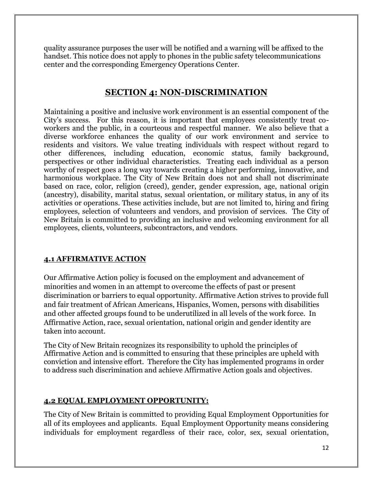quality assurance purposes the user will be notified and a warning will be affixed to the handset. This notice does not apply to phones in the public safety telecommunications center and the corresponding Emergency Operations Center.

## **SECTION 4: NON-DISCRIMINATION**

Maintaining a positive and inclusive work environment is an essential component of the City's success. For this reason, it is important that employees consistently treat coworkers and the public, in a courteous and respectful manner. We also believe that a diverse workforce enhances the quality of our work environment and service to residents and visitors. We value treating individuals with respect without regard to other differences, including education, economic status, family background, perspectives or other individual characteristics. Treating each individual as a person worthy of respect goes a long way towards creating a higher performing, innovative, and harmonious workplace. The City of New Britain does not and shall not discriminate based on race, color, religion (creed), gender, gender expression, age, national origin (ancestry), disability, marital status, sexual orientation, or military status, in any of its activities or operations. These activities include, but are not limited to, hiring and firing employees, selection of volunteers and vendors, and provision of services. The City of New Britain is committed to providing an inclusive and welcoming environment for all employees, clients, volunteers, subcontractors, and vendors.

#### **4.1 AFFIRMATIVE ACTION**

Our Affirmative Action policy is focused on the employment and advancement of minorities and women in an attempt to overcome the effects of past or present discrimination or barriers to equal opportunity. Affirmative Action strives to provide full and fair treatment of African Americans, Hispanics, Women, persons with disabilities and other affected groups found to be underutilized in all levels of the work force. In Affirmative Action, race, sexual orientation, national origin and gender identity are taken into account.

The City of New Britain recognizes its responsibility to uphold the principles of Affirmative Action and is committed to ensuring that these principles are upheld with conviction and intensive effort. Therefore the City has implemented programs in order to address such discrimination and achieve Affirmative Action goals and objectives.

#### **4.2 EQUAL EMPLOYMENT OPPORTUNITY:**

The City of New Britain is committed to providing Equal Employment Opportunities for all of its employees and applicants. Equal Employment Opportunity means considering individuals for employment regardless of their race, color, sex, sexual orientation,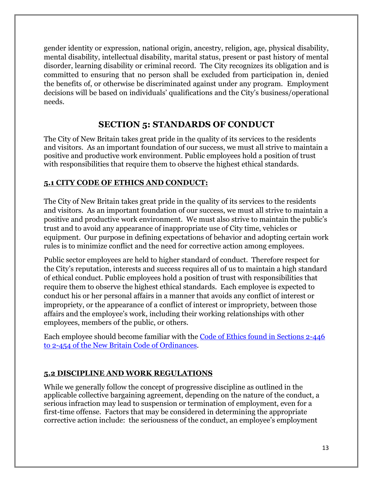gender identity or expression, national origin, ancestry, religion, age, physical disability, mental disability, intellectual disability, marital status, present or past history of mental disorder, learning disability or criminal record. The City recognizes its obligation and is committed to ensuring that no person shall be excluded from participation in, denied the benefits of, or otherwise be discriminated against under any program. Employment decisions will be based on individuals' qualifications and the City's business/operational needs.

## **SECTION 5: STANDARDS OF CONDUCT**

The City of New Britain takes great pride in the quality of its services to the residents and visitors. As an important foundation of our success, we must all strive to maintain a positive and productive work environment. Public employees hold a position of trust with responsibilities that require them to observe the highest ethical standards.

## **5.1 CITY CODE OF ETHICS AND CONDUCT:**

The City of New Britain takes great pride in the quality of its services to the residents and visitors. As an important foundation of our success, we must all strive to maintain a positive and productive work environment. We must also strive to maintain the public's trust and to avoid any appearance of inappropriate use of City time, vehicles or equipment. Our purpose in defining expectations of behavior and adopting certain work rules is to minimize conflict and the need for corrective action among employees.

Public sector employees are held to higher standard of conduct. Therefore respect for the City's reputation, interests and success requires all of us to maintain a high standard of ethical conduct. Public employees hold a position of trust with responsibilities that require them to observe the highest ethical standards. Each employee is expected to conduct his or her personal affairs in a manner that avoids any conflict of interest or impropriety, or the appearance of a conflict of interest or impropriety, between those affairs and the employee's work, including their working relationships with other employees, members of the public, or others.

Each employee should become familiar with the [Code of Ethics found in Sections 2-446](https://www.municode.com/library/ct/new_britain/codes/code_of_ordinances?nodeId=COOR_CH2AD_ARTVICOET)  [to 2-454 of the New Britain Code of Ordinances.](https://www.municode.com/library/ct/new_britain/codes/code_of_ordinances?nodeId=COOR_CH2AD_ARTVICOET)

## **5.2 DISCIPLINE AND WORK REGULATIONS**

While we generally follow the concept of progressive discipline as outlined in the applicable collective bargaining agreement, depending on the nature of the conduct, a serious infraction may lead to suspension or termination of employment, even for a first-time offense. Factors that may be considered in determining the appropriate corrective action include: the seriousness of the conduct, an employee's employment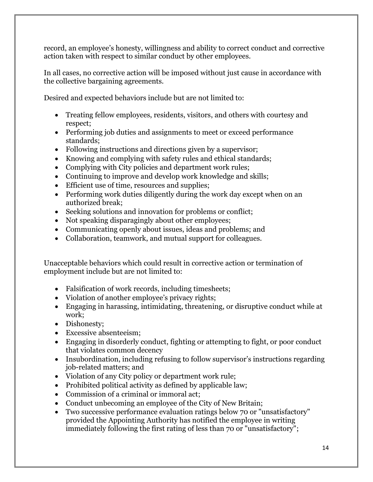record, an employee's honesty, willingness and ability to correct conduct and corrective action taken with respect to similar conduct by other employees.

In all cases, no corrective action will be imposed without just cause in accordance with the collective bargaining agreements.

Desired and expected behaviors include but are not limited to:

- Treating fellow employees, residents, visitors, and others with courtesy and respect;
- Performing job duties and assignments to meet or exceed performance standards;
- Following instructions and directions given by a supervisor;
- Knowing and complying with safety rules and ethical standards;
- Complying with City policies and department work rules;
- Continuing to improve and develop work knowledge and skills;
- Efficient use of time, resources and supplies;
- Performing work duties diligently during the work day except when on an authorized break;
- Seeking solutions and innovation for problems or conflict;
- Not speaking disparagingly about other employees;
- Communicating openly about issues, ideas and problems; and
- Collaboration, teamwork, and mutual support for colleagues.

Unacceptable behaviors which could result in corrective action or termination of employment include but are not limited to:

- Falsification of work records, including timesheets;
- Violation of another employee's privacy rights;
- Engaging in harassing, intimidating, threatening, or disruptive conduct while at work;
- Dishonesty;
- Excessive absenteeism;
- Engaging in disorderly conduct, fighting or attempting to fight, or poor conduct that violates common decency
- Insubordination, including refusing to follow supervisor's instructions regarding job-related matters; and
- Violation of any City policy or department work rule;
- Prohibited political activity as defined by applicable law;
- Commission of a criminal or immoral act;
- Conduct unbecoming an employee of the City of New Britain;
- Two successive performance evaluation ratings below 70 or "unsatisfactory" provided the Appointing Authority has notified the employee in writing immediately following the first rating of less than 70 or "unsatisfactory";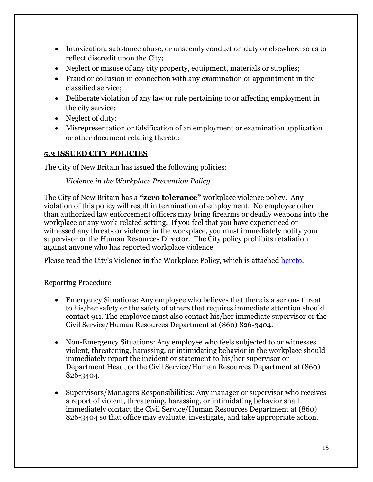- Intoxication, substance abuse, or unseemly conduct on duty or elsewhere so as to reflect discredit upon the City;
- Neglect or misuse of any city property, equipment, materials or supplies;
- Fraud or collusion in connection with any examination or appointment in the classified service;
- Deliberate violation of any law or rule pertaining to or affecting employment in the city service;
- Neglect of duty;
- Misrepresentation or falsification of an employment or examination application or other document relating thereto;

#### **5.3 ISSUED CITY POLICIES**

The City of New Britain has issued the following policies:

#### *Violence in the Workplace Prevention Policy*

The City of New Britain has a **"zero tolerance"** workplace violence policy. Any violation of this policy will result in termination of employment. No employee other than authorized law enforcement officers may bring firearms or deadly weapons into the workplace or any work-related setting. If you feel that you have experienced or witnessed any threats or violence in the workplace, you must immediately notify your supervisor or the Human Resources Director. The City policy prohibits retaliation against anyone who has reported workplace violence.

Please read the City's Violence in the Workplace Policy, which is attached [hereto.](file://///ci.new-britain.ct.us/conb/MayorsOffice/Employee%20Handbook/Polices%20and%20Maps/Violence_in_the_Workplace_Policy_11%2000.doc)

#### Reporting Procedure

- Emergency Situations: Any employee who believes that there is a serious threat to his/her safety or the safety of others that requires immediate attention should contact 911. The employee must also contact his/her immediate supervisor or the Civil Service/Human Resources Department at (860) 826-3404.
- Non-Emergency Situations: Any employee who feels subjected to or witnesses violent, threatening, harassing, or intimidating behavior in the workplace should immediately report the incident or statement to his/her supervisor or Department Head, or the Civil Service/Human Resources Department at (860) 826-3404.
- Supervisors/Managers Responsibilities: Any manager or supervisor who receives a report of violent, threatening, harassing, or intimidating behavior shall immediately contact the Civil Service/Human Resources Department at (860) 826-3404 so that office may evaluate, investigate, and take appropriate action.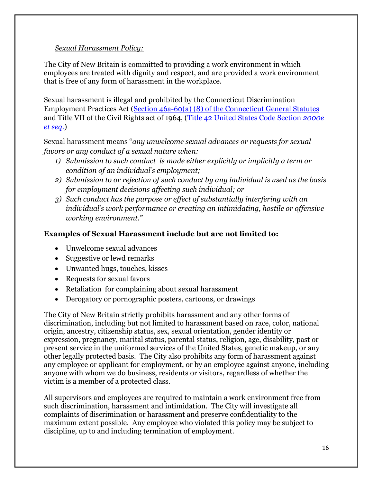#### *Sexual Harassment Policy:*

The City of New Britain is committed to providing a work environment in which employees are treated with dignity and respect, and are provided a work environment that is free of any form of harassment in the workplace.

Sexual harassment is illegal and prohibited by the Connecticut Discrimination Employment Practices Act [\(Section 46a-60\(a\) \(8\) of the Connecticut General Statutes](https://www.cga.ct.gov/current/pub/chap_814c.htm#sec_46a-60) and Title VII of the Civil Rights act of 1964, [\(Title 42 United States Code Section](https://www.eeoc.gov/laws/statutes/titlevii.cfm) *2000e [et seq.](https://www.eeoc.gov/laws/statutes/titlevii.cfm)*)

Sexual harassment means "*any unwelcome sexual advances or requests for sexual favors or any conduct of a sexual nature when:*

- *1) Submission to such conduct is made either explicitly or implicitly a term or condition of an individual's employment;*
- *2) Submission to or rejection of such conduct by any individual is used as the basis for employment decisions affecting such individual; or*
- *3) Such conduct has the purpose or effect of substantially interfering with an individual's work performance or creating an intimidating, hostile or offensive working environment."*

#### **Examples of Sexual Harassment include but are not limited to:**

- Unwelcome sexual advances
- Suggestive or lewd remarks
- Unwanted hugs, touches, kisses
- Requests for sexual favors
- Retaliation for complaining about sexual harassment
- Derogatory or pornographic posters, cartoons, or drawings

The City of New Britain strictly prohibits harassment and any other forms of discrimination, including but not limited to harassment based on race, color, national origin, ancestry, citizenship status, sex, sexual orientation, gender identity or expression, pregnancy, marital status, parental status, religion, age, disability, past or present service in the uniformed services of the United States, genetic makeup, or any other legally protected basis. The City also prohibits any form of harassment against any employee or applicant for employment, or by an employee against anyone, including anyone with whom we do business, residents or visitors, regardless of whether the victim is a member of a protected class.

All supervisors and employees are required to maintain a work environment free from such discrimination, harassment and intimidation. The City will investigate all complaints of discrimination or harassment and preserve confidentiality to the maximum extent possible. Any employee who violated this policy may be subject to discipline, up to and including termination of employment.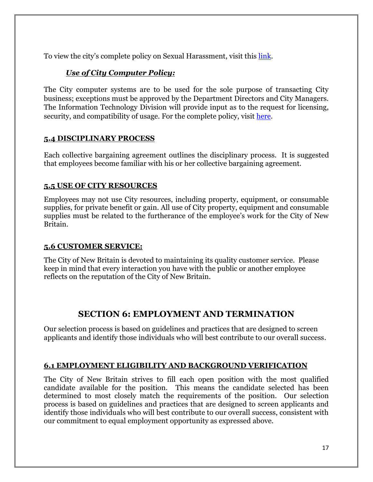To view the city's complete policy on Sexual Harassment, visit this [link.](http://portal/personnel/Shared%20Documents/NB%20Sexual%20Harassment%20Policy.pdf)

### *Use of City Computer Policy:*

The City computer systems are to be used for the sole purpose of transacting City business; exceptions must be approved by the Department Directors and City Managers. The Information Technology Division will provide input as to the request for licensing, security, and compatibility of usage. For the complete policy, visit [here.](http://portal/IT/Shared%20Documents/Policies/ComputerInternetEmailUse.docx)

#### **5.4 DISCIPLINARY PROCESS**

Each collective bargaining agreement outlines the disciplinary process. It is suggested that employees become familiar with his or her collective bargaining agreement.

#### **5.5 USE OF CITY RESOURCES**

Employees may not use City resources, including property, equipment, or consumable supplies, for private benefit or gain. All use of City property, equipment and consumable supplies must be related to the furtherance of the employee's work for the City of New Britain.

#### **5.6 CUSTOMER SERVICE:**

The City of New Britain is devoted to maintaining its quality customer service. Please keep in mind that every interaction you have with the public or another employee reflects on the reputation of the City of New Britain.

## **SECTION 6: EMPLOYMENT AND TERMINATION**

Our selection process is based on guidelines and practices that are designed to screen applicants and identify those individuals who will best contribute to our overall success.

#### **6.1 EMPLOYMENT ELIGIBILITY AND BACKGROUND VERIFICATION**

The City of New Britain strives to fill each open position with the most qualified candidate available for the position. This means the candidate selected has been determined to most closely match the requirements of the position. Our selection process is based on guidelines and practices that are designed to screen applicants and identify those individuals who will best contribute to our overall success, consistent with our commitment to equal employment opportunity as expressed above.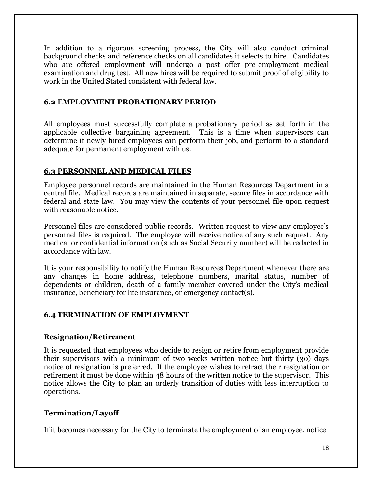In addition to a rigorous screening process, the City will also conduct criminal background checks and reference checks on all candidates it selects to hire. Candidates who are offered employment will undergo a post offer pre-employment medical examination and drug test. All new hires will be required to submit proof of eligibility to work in the United Stated consistent with federal law.

#### **6.2 EMPLOYMENT PROBATIONARY PERIOD**

All employees must successfully complete a probationary period as set forth in the applicable collective bargaining agreement. This is a time when supervisors can determine if newly hired employees can perform their job, and perform to a standard adequate for permanent employment with us.

#### **6.3 PERSONNEL AND MEDICAL FILES**

Employee personnel records are maintained in the Human Resources Department in a central file. Medical records are maintained in separate, secure files in accordance with federal and state law. You may view the contents of your personnel file upon request with reasonable notice.

Personnel files are considered public records. Written request to view any employee's personnel files is required. The employee will receive notice of any such request. Any medical or confidential information (such as Social Security number) will be redacted in accordance with law.

It is your responsibility to notify the Human Resources Department whenever there are any changes in home address, telephone numbers, marital status, number of dependents or children, death of a family member covered under the City's medical insurance, beneficiary for life insurance, or emergency contact(s).

#### **6.4 TERMINATION OF EMPLOYMENT**

#### **Resignation/Retirement**

It is requested that employees who decide to resign or retire from employment provide their supervisors with a minimum of two weeks written notice but thirty (30) days notice of resignation is preferred. If the employee wishes to retract their resignation or retirement it must be done within 48 hours of the written notice to the supervisor. This notice allows the City to plan an orderly transition of duties with less interruption to operations.

#### **Termination/Layoff**

If it becomes necessary for the City to terminate the employment of an employee, notice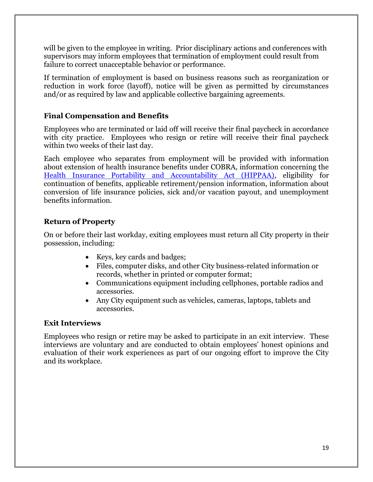will be given to the employee in writing. Prior disciplinary actions and conferences with supervisors may inform employees that termination of employment could result from failure to correct unacceptable behavior or performance.

If termination of employment is based on business reasons such as reorganization or reduction in work force (layoff), notice will be given as permitted by circumstances and/or as required by law and applicable collective bargaining agreements.

#### **Final Compensation and Benefits**

Employees who are terminated or laid off will receive their final paycheck in accordance with city practice. Employees who resign or retire will receive their final paycheck within two weeks of their last day.

Each employee who separates from employment will be provided with information about extension of health insurance benefits under COBRA, information concerning the [Health Insurance Portability and Accountability Act \(HIPPAA\),](https://www.gpo.gov/fdsys/pkg/PLAW-104publ191/html/PLAW-104publ191.htm) eligibility for continuation of benefits, applicable retirement/pension information, information about conversion of life insurance policies, sick and/or vacation payout, and unemployment benefits information.

#### **Return of Property**

On or before their last workday, exiting employees must return all City property in their possession, including:

- Keys, key cards and badges;
- Files, computer disks, and other City business-related information or records, whether in printed or computer format;
- Communications equipment including cellphones, portable radios and accessories.
- Any City equipment such as vehicles, cameras, laptops, tablets and accessories.

#### **Exit Interviews**

Employees who resign or retire may be asked to participate in an exit interview. These interviews are voluntary and are conducted to obtain employees' honest opinions and evaluation of their work experiences as part of our ongoing effort to improve the City and its workplace.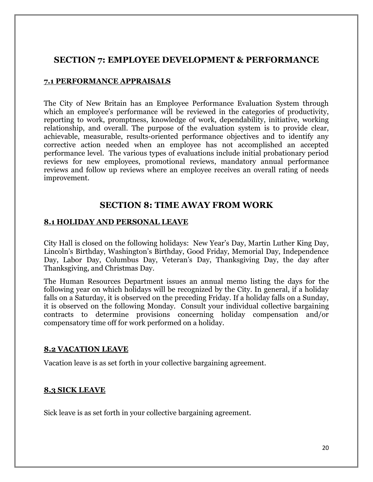## **SECTION 7: EMPLOYEE DEVELOPMENT & PERFORMANCE**

#### **7.1 PERFORMANCE APPRAISALS**

The City of New Britain has an Employee Performance Evaluation System through which an employee's performance will be reviewed in the categories of productivity, reporting to work, promptness, knowledge of work, dependability, initiative, working relationship, and overall. The purpose of the evaluation system is to provide clear, achievable, measurable, results-oriented performance objectives and to identify any corrective action needed when an employee has not accomplished an accepted performance level. The various types of evaluations include initial probationary period reviews for new employees, promotional reviews, mandatory annual performance reviews and follow up reviews where an employee receives an overall rating of needs improvement.

#### **SECTION 8: TIME AWAY FROM WORK**

#### **8.1 HOLIDAY AND PERSONAL LEAVE**

City Hall is closed on the following holidays: New Year's Day, Martin Luther King Day, Lincoln's Birthday, Washington's Birthday, Good Friday, Memorial Day, Independence Day, Labor Day, Columbus Day, Veteran's Day, Thanksgiving Day, the day after Thanksgiving, and Christmas Day.

The Human Resources Department issues an annual memo listing the days for the following year on which holidays will be recognized by the City. In general, if a holiday falls on a Saturday, it is observed on the preceding Friday. If a holiday falls on a Sunday, it is observed on the following Monday. Consult your individual collective bargaining contracts to determine provisions concerning holiday compensation and/or compensatory time off for work performed on a holiday.

#### **8.2 VACATION LEAVE**

Vacation leave is as set forth in your collective bargaining agreement.

#### **8.3 SICK LEAVE**

Sick leave is as set forth in your collective bargaining agreement.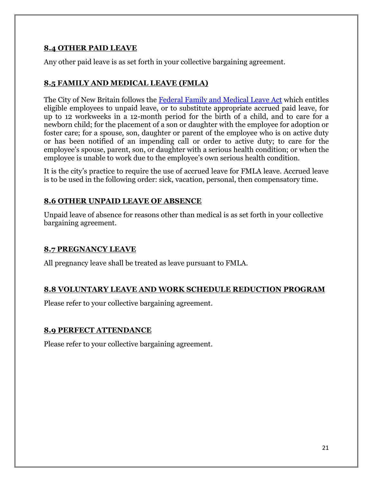#### **8.4 OTHER PAID LEAVE**

Any other paid leave is as set forth in your collective bargaining agreement.

#### **8.5 FAMILY AND MEDICAL LEAVE (FMLA)**

The City of New Britain follows the [Federal Family and Medical Leave Act](https://www.gpo.gov/fdsys/pkg/STATUTE-107/pdf/STATUTE-107-Pg6.pdf) which entitles eligible employees to unpaid leave, or to substitute appropriate accrued paid leave, for up to 12 workweeks in a 12-month period for the birth of a child, and to care for a newborn child; for the placement of a son or daughter with the employee for adoption or foster care; for a spouse, son, daughter or parent of the employee who is on active duty or has been notified of an impending call or order to active duty; to care for the employee's spouse, parent, son, or daughter with a serious health condition; or when the employee is unable to work due to the employee's own serious health condition.

It is the city's practice to require the use of accrued leave for FMLA leave. Accrued leave is to be used in the following order: sick, vacation, personal, then compensatory time.

#### **8.6 OTHER UNPAID LEAVE OF ABSENCE**

Unpaid leave of absence for reasons other than medical is as set forth in your collective bargaining agreement.

#### **8.7 PREGNANCY LEAVE**

All pregnancy leave shall be treated as leave pursuant to FMLA.

#### **8.8 VOLUNTARY LEAVE AND WORK SCHEDULE REDUCTION PROGRAM**

Please refer to your collective bargaining agreement.

#### **8.9 PERFECT ATTENDANCE**

Please refer to your collective bargaining agreement.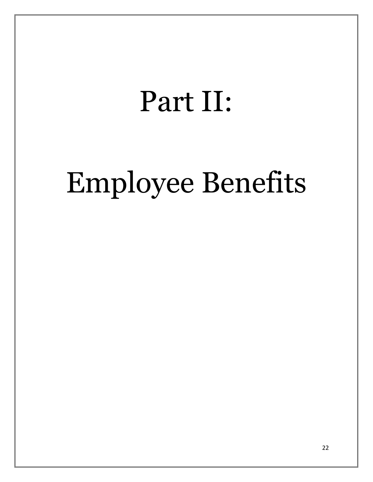## Part II:

# Employee Benefits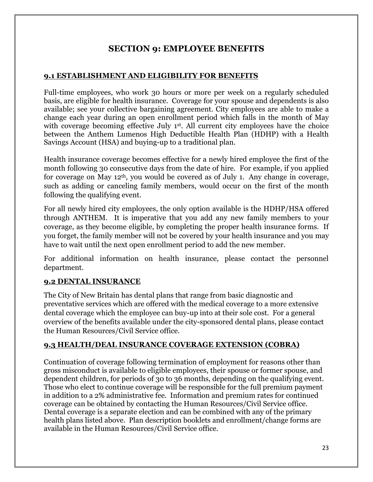## **SECTION 9: EMPLOYEE BENEFITS**

#### **9.1 ESTABLISHMENT AND ELIGIBILITY FOR BENEFITS**

Full-time employees, who work 30 hours or more per week on a regularly scheduled basis, are eligible for health insurance. Coverage for your spouse and dependents is also available; see your collective bargaining agreement. City employees are able to make a change each year during an open enrollment period which falls in the month of May with coverage becoming effective July 1<sup>st</sup>. All current city employees have the choice between the Anthem Lumenos High Deductible Health Plan (HDHP) with a Health Savings Account (HSA) and buying-up to a traditional plan.

Health insurance coverage becomes effective for a newly hired employee the first of the month following 30 consecutive days from the date of hire. For example, if you applied for coverage on May 12th, you would be covered as of July 1. Any change in coverage, such as adding or canceling family members, would occur on the first of the month following the qualifying event.

For all newly hired city employees, the only option available is the HDHP/HSA offered through ANTHEM. It is imperative that you add any new family members to your coverage, as they become eligible, by completing the proper health insurance forms. If you forget, the family member will not be covered by your health insurance and you may have to wait until the next open enrollment period to add the new member.

For additional information on health insurance, please contact the personnel department.

#### **9.2 DENTAL INSURANCE**

The City of New Britain has dental plans that range from basic diagnostic and preventative services which are offered with the medical coverage to a more extensive dental coverage which the employee can buy-up into at their sole cost. For a general overview of the benefits available under the city-sponsored dental plans, please contact the Human Resources/Civil Service office.

#### **9.3 HEALTH/DEAL INSURANCE COVERAGE EXTENSION (COBRA)**

Continuation of coverage following termination of employment for reasons other than gross misconduct is available to eligible employees, their spouse or former spouse, and dependent children, for periods of 30 to 36 months, depending on the qualifying event. Those who elect to continue coverage will be responsible for the full premium payment in addition to a 2% administrative fee. Information and premium rates for continued coverage can be obtained by contacting the Human Resources/Civil Service office. Dental coverage is a separate election and can be combined with any of the primary health plans listed above. Plan description booklets and enrollment/change forms are available in the Human Resources/Civil Service office.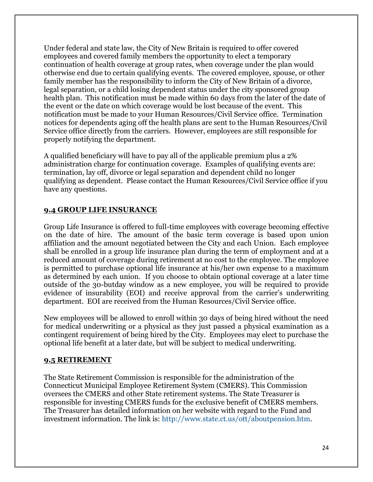Under federal and state law, the City of New Britain is required to offer covered employees and covered family members the opportunity to elect a temporary continuation of health coverage at group rates, when coverage under the plan would otherwise end due to certain qualifying events. The covered employee, spouse, or other family member has the responsibility to inform the City of New Britain of a divorce, legal separation, or a child losing dependent status under the city sponsored group health plan. This notification must be made within 60 days from the later of the date of the event or the date on which coverage would be lost because of the event. This notification must be made to your Human Resources/Civil Service office. Termination notices for dependents aging off the health plans are sent to the Human Resources/Civil Service office directly from the carriers. However, employees are still responsible for properly notifying the department.

A qualified beneficiary will have to pay all of the applicable premium plus a 2% administration charge for continuation coverage. Examples of qualifying events are: termination, lay off, divorce or legal separation and dependent child no longer qualifying as dependent. Please contact the Human Resources/Civil Service office if you have any questions.

#### **9.4 GROUP LIFE INSURANCE**

Group Life Insurance is offered to full-time employees with coverage becoming effective on the date of hire. The amount of the basic term coverage is based upon union affiliation and the amount negotiated between the City and each Union. Each employee shall be enrolled in a group life insurance plan during the term of employment and at a reduced amount of coverage during retirement at no cost to the employee. The employee is permitted to purchase optional life insurance at his/her own expense to a maximum as determined by each union. If you choose to obtain optional coverage at a later time outside of the 30-butday window as a new employee, you will be required to provide evidence of insurability (EOI) and receive approval from the carrier's underwriting department. EOI are received from the Human Resources/Civil Service office.

New employees will be allowed to enroll within 30 days of being hired without the need for medical underwriting or a physical as they just passed a physical examination as a contingent requirement of being hired by the City. Employees may elect to purchase the optional life benefit at a later date, but will be subject to medical underwriting.

#### **9.5 RETIREMENT**

The State Retirement Commission is responsible for the administration of the Connecticut Municipal Employee Retirement System (CMERS). This Commission oversees the CMERS and other State retirement systems. The State Treasurer is responsible for investing CMERS funds for the exclusive benefit of CMERS members. The Treasurer has detailed information on her website with regard to the Fund and investment information. The link is: [http://www.state.ct.us/ott/aboutpension.htm.](http://www.state.ct.us/ott/aboutpension.htm)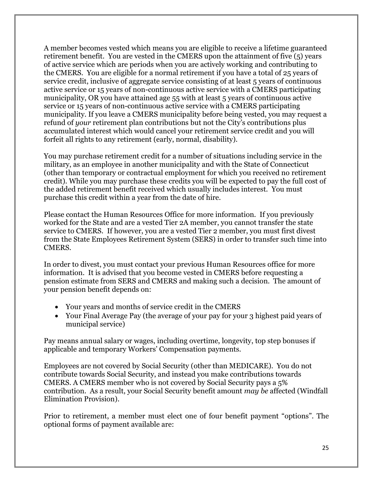A member becomes vested which means you are eligible to receive a lifetime guaranteed retirement benefit. You are vested in the CMERS upon the attainment of five (5) years of active service which are periods when you are actively working and contributing to the CMERS. You are eligible for a normal retirement if you have a total of 25 years of service credit, inclusive of aggregate service consisting of at least 5 years of continuous active service or 15 years of non-continuous active service with a CMERS participating municipality, OR you have attained age 55 with at least 5 years of continuous active service or 15 years of non-continuous active service with a CMERS participating municipality. If you leave a CMERS municipality before being vested, you may request a refund of *your* retirement plan contributions but not the City's contributions plus accumulated interest which would cancel your retirement service credit and you will forfeit all rights to any retirement (early, normal, disability).

You may purchase retirement credit for a number of situations including service in the military, as an employee in another municipality and with the State of Connecticut (other than temporary or contractual employment for which you received no retirement credit). While you may purchase these credits you will be expected to pay the full cost of the added retirement benefit received which usually includes interest. You must purchase this credit within a year from the date of hire.

Please contact the Human Resources Office for more information. If you previously worked for the State and are a vested Tier 2A member, you cannot transfer the state service to CMERS. If however, you are a vested Tier 2 member, you must first divest from the State Employees Retirement System (SERS) in order to transfer such time into CMERS.

In order to divest, you must contact your previous Human Resources office for more information. It is advised that you become vested in CMERS before requesting a pension estimate from SERS and CMERS and making such a decision. The amount of your pension benefit depends on:

- Your years and months of service credit in the CMERS
- Your Final Average Pay (the average of your pay for your 3 highest paid years of municipal service)

Pay means annual salary or wages, including overtime, longevity, top step bonuses if applicable and temporary Workers' Compensation payments.

Employees are not covered by Social Security (other than MEDICARE). You do not contribute towards Social Security, and instead you make contributions towards CMERS. A CMERS member who is not covered by Social Security pays a 5% contribution. As a result, your Social Security benefit amount *may be* affected (Windfall Elimination Provision).

Prior to retirement, a member must elect one of four benefit payment "options". The optional forms of payment available are: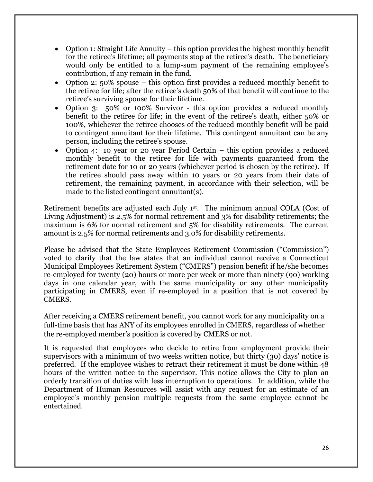- Option 1: Straight Life Annuity this option provides the highest monthly benefit for the retiree's lifetime; all payments stop at the retiree's death. The beneficiary would only be entitled to a lump-sum payment of the remaining employee's contribution, if any remain in the fund.
- Option 2: 50% spouse this option first provides a reduced monthly benefit to the retiree for life; after the retiree's death 50% of that benefit will continue to the retiree's surviving spouse for their lifetime.
- Option 3: 50% or 100% Survivor this option provides a reduced monthly benefit to the retiree for life; in the event of the retiree's death, either 50% or 100%, whichever the retiree chooses of the reduced monthly benefit will be paid to contingent annuitant for their lifetime. This contingent annuitant can be any person, including the retiree's spouse.
- Option 4: 10 year or 20 year Period Certain this option provides a reduced monthly benefit to the retiree for life with payments guaranteed from the retirement date for 10 or 20 years (whichever period is chosen by the retiree). If the retiree should pass away within 10 years or 20 years from their date of retirement, the remaining payment, in accordance with their selection, will be made to the listed contingent annuitant(s).

Retirement benefits are adjusted each July 1st. The minimum annual COLA (Cost of Living Adjustment) is 2.5% for normal retirement and 3% for disability retirements; the maximum is 6% for normal retirement and 5% for disability retirements. The current amount is 2.5% for normal retirements and 3.0% for disability retirements.

Please be advised that the State Employees Retirement Commission ("Commission") voted to clarify that the law states that an individual cannot receive a Connecticut Municipal Employees Retirement System ("CMERS") pension benefit if he/she becomes re-employed for twenty (20) hours or more per week or more than ninety (90) working days in one calendar year, with the same municipality or any other municipality participating in CMERS, even if re-employed in a position that is not covered by CMERS.

After receiving a CMERS retirement benefit, you cannot work for any municipality on a full-time basis that has ANY of its employees enrolled in CMERS, regardless of whether the re-employed member's position is covered by CMERS or not.

It is requested that employees who decide to retire from employment provide their supervisors with a minimum of two weeks written notice, but thirty (30) days' notice is preferred. If the employee wishes to retract their retirement it must be done within 48 hours of the written notice to the supervisor. This notice allows the City to plan an orderly transition of duties with less interruption to operations. In addition, while the Department of Human Resources will assist with any request for an estimate of an employee's monthly pension multiple requests from the same employee cannot be entertained.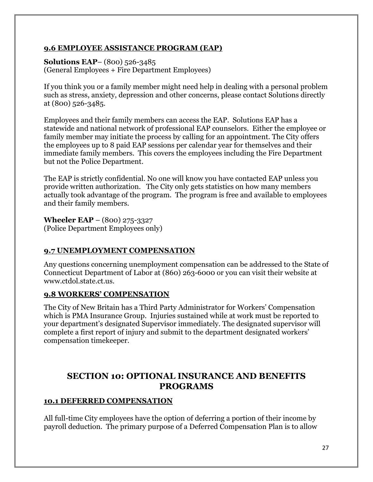#### **9.6 EMPLOYEE ASSISTANCE PROGRAM (EAP)**

**Solutions EAP**– (800) 526-3485 (General Employees + Fire Department Employees)

If you think you or a family member might need help in dealing with a personal problem such as stress, anxiety, depression and other concerns, please contact Solutions directly at (800) 526-3485.

Employees and their family members can access the EAP. Solutions EAP has a statewide and national network of professional EAP counselors. Either the employee or family member may initiate the process by calling for an appointment. The City offers the employees up to 8 paid EAP sessions per calendar year for themselves and their immediate family members. This covers the employees including the Fire Department but not the Police Department.

The EAP is strictly confidential. No one will know you have contacted EAP unless you provide written authorization. The City only gets statistics on how many members actually took advantage of the program. The program is free and available to employees and their family members.

**Wheeler EAP** – (800) 275-3327 (Police Department Employees only)

#### **9.7 UNEMPLOYMENT COMPENSATION**

Any questions concerning unemployment compensation can be addressed to the State of Connecticut Department of Labor at (860) 263-6000 or you can visit their website at www.ctdol.state.ct.us.

#### **9.8 WORKERS' COMPENSATION**

The City of New Britain has a Third Party Administrator for Workers' Compensation which is PMA Insurance Group. Injuries sustained while at work must be reported to your department's designated Supervisor immediately. The designated supervisor will complete a first report of injury and submit to the department designated workers' compensation timekeeper.

## **SECTION 10: OPTIONAL INSURANCE AND BENEFITS PROGRAMS**

#### **10.1 DEFERRED COMPENSATION**

All full-time City employees have the option of deferring a portion of their income by payroll deduction. The primary purpose of a Deferred Compensation Plan is to allow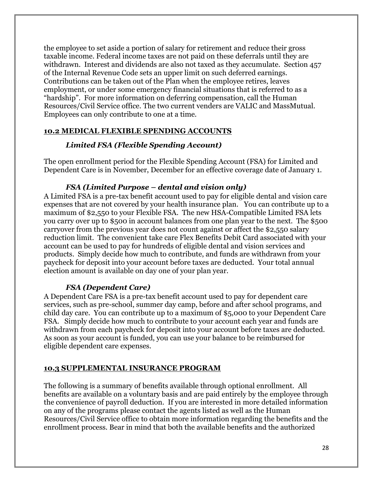the employee to set aside a portion of salary for retirement and reduce their gross taxable income. Federal income taxes are not paid on these deferrals until they are withdrawn. Interest and dividends are also not taxed as they accumulate. Section 457 of the Internal Revenue Code sets an upper limit on such deferred earnings. Contributions can be taken out of the Plan when the employee retires, leaves employment, or under some emergency financial situations that is referred to as a "hardship". For more information on deferring compensation, call the Human Resources/Civil Service office. The two current venders are VALIC and MassMutual. Employees can only contribute to one at a time.

#### **10.2 MEDICAL FLEXIBLE SPENDING ACCOUNTS**

#### *Limited FSA (Flexible Spending Account)*

The open enrollment period for the Flexible Spending Account (FSA) for Limited and Dependent Care is in November, December for an effective coverage date of January 1.

#### *FSA (Limited Purpose – dental and vision only)*

A Limited FSA is a pre-tax benefit account used to pay for eligible dental and vision care expenses that are not covered by your health insurance plan. You can contribute up to a maximum of \$2,550 to your Flexible FSA. The new HSA-Compatible Limited FSA lets you carry over up to \$500 in account balances from one plan year to the next. The \$500 carryover from the previous year does not count against or affect the \$2,550 salary reduction limit. The convenient take care Flex Benefits Debit Card associated with your account can be used to pay for hundreds of eligible dental and vision services and products. Simply decide how much to contribute, and funds are withdrawn from your paycheck for deposit into your account before taxes are deducted. Your total annual election amount is available on day one of your plan year.

#### *FSA (Dependent Care)*

A Dependent Care FSA is a pre-tax benefit account used to pay for dependent care services, such as pre-school, summer day camp, before and after school programs, and child day care. You can contribute up to a maximum of \$5,000 to your Dependent Care FSA. Simply decide how much to contribute to your account each year and funds are withdrawn from each paycheck for deposit into your account before taxes are deducted. As soon as your account is funded, you can use your balance to be reimbursed for eligible dependent care expenses.

## **10.3 SUPPLEMENTAL INSURANCE PROGRAM**

The following is a summary of benefits available through optional enrollment. All benefits are available on a voluntary basis and are paid entirely by the employee through the convenience of payroll deduction. If you are interested in more detailed information on any of the programs please contact the agents listed as well as the Human Resources/Civil Service office to obtain more information regarding the benefits and the enrollment process. Bear in mind that both the available benefits and the authorized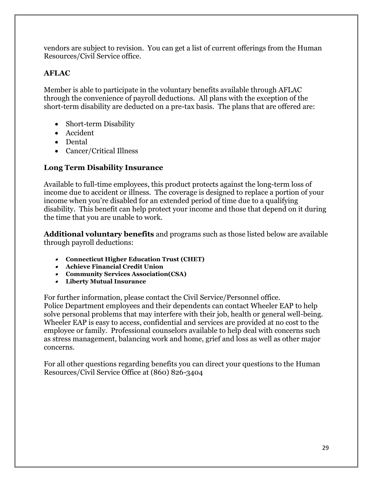vendors are subject to revision. You can get a list of current offerings from the Human Resources/Civil Service office.

### **AFLAC**

Member is able to participate in the voluntary benefits available through AFLAC through the convenience of payroll deductions. All plans with the exception of the short-term disability are deducted on a pre-tax basis. The plans that are offered are:

- Short-term Disability
- Accident
- Dental
- Cancer/Critical Illness

#### **Long Term Disability Insurance**

Available to full-time employees, this product protects against the long-term loss of income due to accident or illness. The coverage is designed to replace a portion of your income when you're disabled for an extended period of time due to a qualifying disability. This benefit can help protect your income and those that depend on it during the time that you are unable to work.

**Additional voluntary benefits** and programs such as those listed below are available through payroll deductions:

- **Connecticut Higher Education Trust (CHET)**
- **Achieve Financial Credit Union**
- **Community Services Association(CSA)**
- **Liberty Mutual Insurance**

For further information, please contact the Civil Service/Personnel office. Police Department employees and their dependents can contact Wheeler EAP to help solve personal problems that may interfere with their job, health or general well-being. Wheeler EAP is easy to access, confidential and services are provided at no cost to the employee or family. Professional counselors available to help deal with concerns such as stress management, balancing work and home, grief and loss as well as other major concerns.

For all other questions regarding benefits you can direct your questions to the Human Resources/Civil Service Office at (860) 826-3404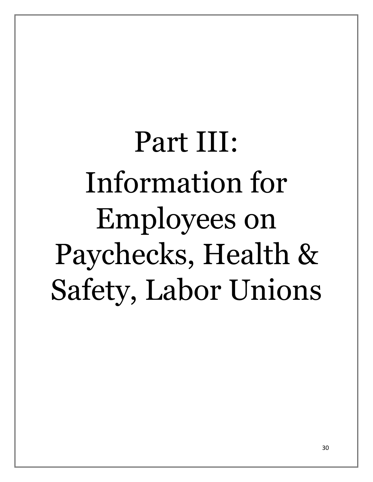# Part III: Information for Employees on Paychecks, Health & Safety, Labor Unions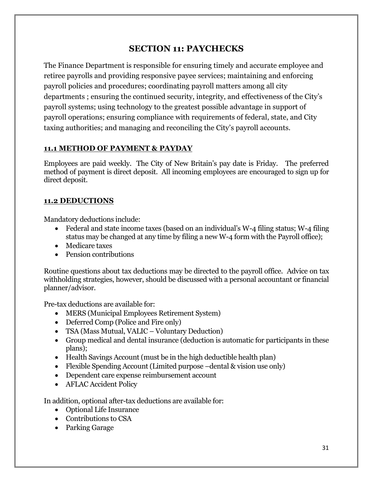## **SECTION 11: PAYCHECKS**

The Finance Department is responsible for ensuring timely and accurate employee and retiree payrolls and providing responsive payee services; maintaining and enforcing payroll policies and procedures; coordinating payroll matters among all city departments ; ensuring the continued security, integrity, and effectiveness of the City's payroll systems; using technology to the greatest possible advantage in support of payroll operations; ensuring compliance with requirements of federal, state, and City taxing authorities; and managing and reconciling the City's payroll accounts.

#### **11.1 METHOD OF PAYMENT & PAYDAY**

Employees are paid weekly. The City of New Britain's pay date is Friday. The preferred method of payment is direct deposit. All incoming employees are encouraged to sign up for direct deposit.

#### **11.2 DEDUCTIONS**

Mandatory deductions include:

- Federal and state income taxes (based on an individual's W-4 filing status; W-4 filing status may be changed at any time by filing a new W-4 form with the Payroll office);
- Medicare taxes
- Pension contributions

Routine questions about tax deductions may be directed to the payroll office. Advice on tax withholding strategies, however, should be discussed with a personal accountant or financial planner/advisor.

Pre-tax deductions are available for:

- MERS (Municipal Employees Retirement System)
- Deferred Comp (Police and Fire only)
- TSA (Mass Mutual, VALIC Voluntary Deduction)
- Group medical and dental insurance (deduction is automatic for participants in these plans);
- Health Savings Account (must be in the high deductible health plan)
- Flexible Spending Account (Limited purpose –dental & vision use only)
- Dependent care expense reimbursement account
- AFLAC Accident Policy

In addition, optional after-tax deductions are available for:

- Optional Life Insurance
- Contributions to CSA
- Parking Garage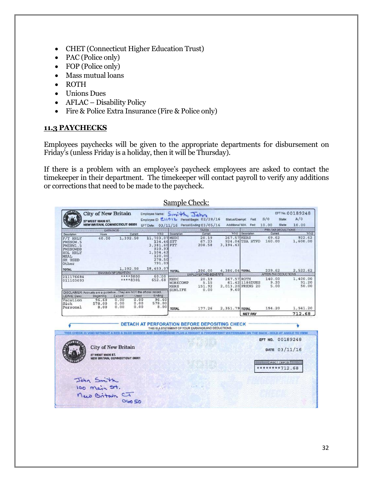- CHET (Connecticut Higher Education Trust)
- PAC (Police only)
- FOP (Police only)
- Mass mutual loans
- ROTH
- Unions Dues
- AFLAC Disability Policy
- Fire & Police Extra Insurance (Fire & Police only)

## **11.3 PAYCHECKS**

Employees paychecks will be given to the appropriate departments for disbursement on Friday's (unless Friday is a holiday, then it will be Thursday).

If there is a problem with an employee's paycheck employees are asked to contact the timekeeper in their department. The timekeeper will contact payroll to verify any additions or corrections that need to be made to the paycheck.

|                                                                                                            |                                                                                         |                            |                      |                                                                                                                 |                                                   | Sample Check:                                                                                                                           |                                  |                                      |                 |                                                     |                                   |
|------------------------------------------------------------------------------------------------------------|-----------------------------------------------------------------------------------------|----------------------------|----------------------|-----------------------------------------------------------------------------------------------------------------|---------------------------------------------------|-----------------------------------------------------------------------------------------------------------------------------------------|----------------------------------|--------------------------------------|-----------------|-----------------------------------------------------|-----------------------------------|
|                                                                                                            | <b>City of New Britain</b><br>27 WEST MAIN ST.<br><b>NEW BRITAIN, CONNECTIGUT 06051</b> |                            |                      | Employee Name: Smith, John                                                                                      |                                                   | Employee ID: E11012 Period Begin: 02/28/16<br>EFT Date: 03/11/16 Period Ending: 03/05/16                                                | Status/Exempt:<br>Additional WH. | Fed:<br>Fed:                         | S/0<br>10.00    | State:<br>State:                                    | EFT No.: 00189248<br>A/0<br>10.00 |
|                                                                                                            | <b>CONTRACTOR</b>                                                                       | <b>EARNINGS</b>            |                      | and a state of the second plans of                                                                              |                                                   |                                                                                                                                         |                                  | all commercials.                     |                 |                                                     | <b>PRE-TAX-DEDUCTIONS</b>         |
| Description<br>F/T HRLY<br>PWSNOW.5<br>PWSNW1.5<br>PWSNOWDB<br>HOL HRLY<br><b>MEAL</b><br>SK USED<br>Other | Hours<br>40.00                                                                          | 1,392.50                   | Current              | $Y - F - D$<br>11,703.07 MEDI<br>134.46 SIT<br>3,381.60 FIT<br>939.93<br>1,104.42<br>120.00<br>278.50<br>791.09 | Description                                       | Current<br>20.19<br>67.23<br>208.58                                                                                                     | 267.57 MERS<br>3.194.43          | Y-T-D Description<br>924.04 TSA HTFD | 69.62<br>160.00 | Current                                             | $Y-T-D$<br>922.62<br>1,600.00     |
| <b>TOTAL</b>                                                                                               |                                                                                         | 1,392.50                   |                      | 18,453.07                                                                                                       |                                                   | 296.00                                                                                                                                  | 4,386.04 TOTAL                   |                                      | 229.62          |                                                     | 2,522.62                          |
| <b>TOTAL CONTRACTOR</b>                                                                                    |                                                                                         | <b>BANKING INFORMATION</b> |                      | <b>THEFT COLL</b><br>60.00                                                                                      | <b>TOTAL</b>                                      | <b>EMPLOYER PAID BENEFITS</b>                                                                                                           |                                  |                                      |                 |                                                     | AFTER-TAX DEDUCTIONS              |
| 211176684<br>011103093                                                                                     |                                                                                         | ****9800<br>****8301       |                      |                                                                                                                 | MEDI<br>WORKCOMP<br><b>MERS</b><br><b>SUNLIFE</b> | 20.19<br>5.15<br>151.92<br>0.00                                                                                                         | 267.57 ROTH<br>9.60              | 61.42 1186DUES<br>2.013.20 PRKNG 20  | 140.00          | 9.20<br>5.00                                        | 1,400.00<br>91.20<br>50.00        |
| LEAVE Desc                                                                                                 | DISCLAIMER: Accruais are a guideline. They are NOT the official record.<br>Beginning:   |                            |                      | Earned : Used Ending                                                                                            |                                                   |                                                                                                                                         |                                  |                                      |                 |                                                     |                                   |
| Vacation<br>Sick<br>Personal                                                                               | 96.60<br>578.00<br>8.00                                                                 | 0.00<br>0.00<br>0.00       | 0.00<br>0.00<br>0.00 | 96.60<br>578.00<br>8.00                                                                                         | <b>TOTAL</b>                                      | 177.26                                                                                                                                  | 2,351.79 TOTAL                   | <b>NET PAY</b>                       | 154.20          |                                                     | 1,541.20<br>712.68                |
|                                                                                                            |                                                                                         |                            |                      |                                                                                                                 |                                                   | <b>DETACH AT PERFORATION BEFORE DEPOSITING CHECK</b><br>THIS IS A STATEMENT OF YOUR EARNINGS AND DEDUCTIONS.                            |                                  |                                      |                 |                                                     |                                   |
|                                                                                                            | <b>City of New Britain</b>                                                              |                            |                      |                                                                                                                 |                                                   | THIS CHECK IS VOID WITHOUT A RED & BLUE BORDER AND BACKGROUND PLUS A KNIGHT & FINGERPRINT WATERMARK ON THE BACK - HOLD AT ANGLE TO VIEW |                                  |                                      | EFT NO.         | DATE 03/11/16                                       | 00189248                          |
|                                                                                                            | 27 WEST MAIN ST.<br>NEW BRITAIN, CONNECTICUT 06051                                      |                            |                      |                                                                                                                 |                                                   |                                                                                                                                         |                                  |                                      |                 | <b>WEISS DIRECT DEPOSIT THEFT</b><br>********712.68 |                                   |
|                                                                                                            | John Smith<br>100 main st.<br>new Britain CT                                            | 06050                      |                      |                                                                                                                 |                                                   |                                                                                                                                         |                                  |                                      |                 |                                                     |                                   |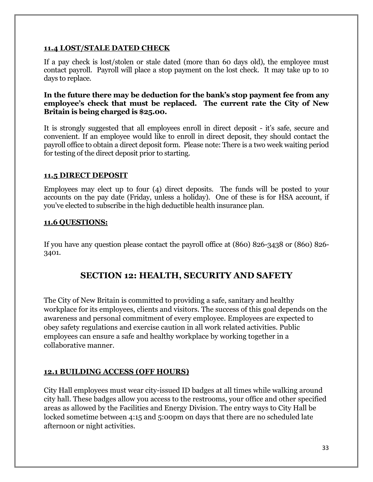#### **11.4 LOST/STALE DATED CHECK**

If a pay check is lost/stolen or stale dated (more than 60 days old), the employee must contact payroll. Payroll will place a stop payment on the lost check. It may take up to 10 days to replace.

#### **In the future there may be deduction for the bank's stop payment fee from any employee's check that must be replaced. The current rate the City of New Britain is being charged is \$25.00.**

It is strongly suggested that all employees enroll in direct deposit - it's safe, secure and convenient. If an employee would like to enroll in direct deposit, they should contact the payroll office to obtain a direct deposit form. Please note: There is a two week waiting period for testing of the direct deposit prior to starting.

#### **11.5 DIRECT DEPOSIT**

Employees may elect up to four (4) direct deposits. The funds will be posted to your accounts on the pay date (Friday, unless a holiday). One of these is for HSA account, if you've elected to subscribe in the high deductible health insurance plan.

#### **11.6 QUESTIONS:**

If you have any question please contact the payroll office at (860) 826-3438 or (860) 826- 3401.

## **SECTION 12: HEALTH, SECURITY AND SAFETY**

The City of New Britain is committed to providing a safe, sanitary and healthy workplace for its employees, clients and visitors. The success of this goal depends on the awareness and personal commitment of every employee. Employees are expected to obey safety regulations and exercise caution in all work related activities. Public employees can ensure a safe and healthy workplace by working together in a collaborative manner.

#### **12.1 BUILDING ACCESS (OFF HOURS)**

City Hall employees must wear city-issued ID badges at all times while walking around city hall. These badges allow you access to the restrooms, your office and other specified areas as allowed by the Facilities and Energy Division. The entry ways to City Hall be locked sometime between 4:15 and 5:00pm on days that there are no scheduled late afternoon or night activities.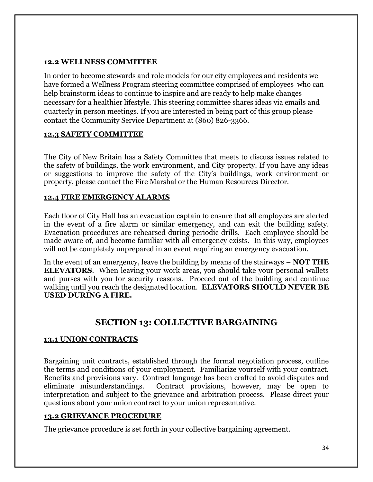#### **12.2 WELLNESS COMMITTEE**

In order to become stewards and role models for our city employees and residents we have formed a Wellness Program steering committee comprised of employees who can help brainstorm ideas to continue to inspire and are ready to help make changes necessary for a healthier lifestyle. This steering committee shares ideas via emails and quarterly in person meetings. If you are interested in being part of this group please contact the Community Service Department at (860) 826-3366.

#### **12.3 SAFETY COMMITTEE**

The City of New Britain has a Safety Committee that meets to discuss issues related to the safety of buildings, the work environment, and City property. If you have any ideas or suggestions to improve the safety of the City's buildings, work environment or property, please contact the Fire Marshal or the Human Resources Director.

#### **12.4 FIRE EMERGENCY ALARMS**

Each floor of City Hall has an evacuation captain to ensure that all employees are alerted in the event of a fire alarm or similar emergency, and can exit the building safety. Evacuation procedures are rehearsed during periodic drills. Each employee should be made aware of, and become familiar with all emergency exists. In this way, employees will not be completely unprepared in an event requiring an emergency evacuation.

In the event of an emergency, leave the building by means of the stairways – **NOT THE ELEVATORS**. When leaving your work areas, you should take your personal wallets and purses with you for security reasons. Proceed out of the building and continue walking until you reach the designated location. **ELEVATORS SHOULD NEVER BE USED DURING A FIRE.**

## **SECTION 13: COLLECTIVE BARGAINING**

#### **13.1 UNION CONTRACTS**

Bargaining unit contracts, established through the formal negotiation process, outline the terms and conditions of your employment. Familiarize yourself with your contract. Benefits and provisions vary. Contract language has been crafted to avoid disputes and eliminate misunderstandings. Contract provisions, however, may be open to interpretation and subject to the grievance and arbitration process. Please direct your questions about your union contract to your union representative.

#### **13.2 GRIEVANCE PROCEDURE**

The grievance procedure is set forth in your collective bargaining agreement.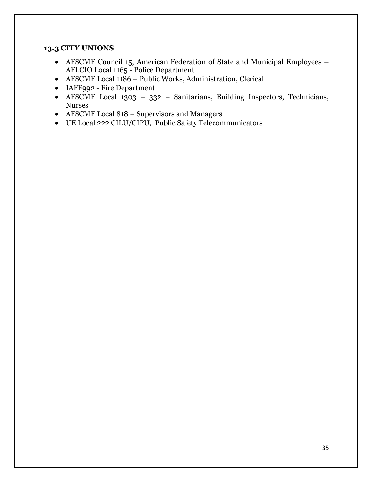#### **13.3 CITY UNIONS**

- AFSCME Council 15, American Federation of State and Municipal Employees AFLCIO Local 1165 - Police Department
- AFSCME Local 1186 Public Works, Administration, Clerical
- IAFF992 Fire Department
- AFSCME Local 1303 332 Sanitarians, Building Inspectors, Technicians, Nurses
- AFSCME Local 818 Supervisors and Managers
- UE Local 222 CILU/CIPU, Public Safety Telecommunicators